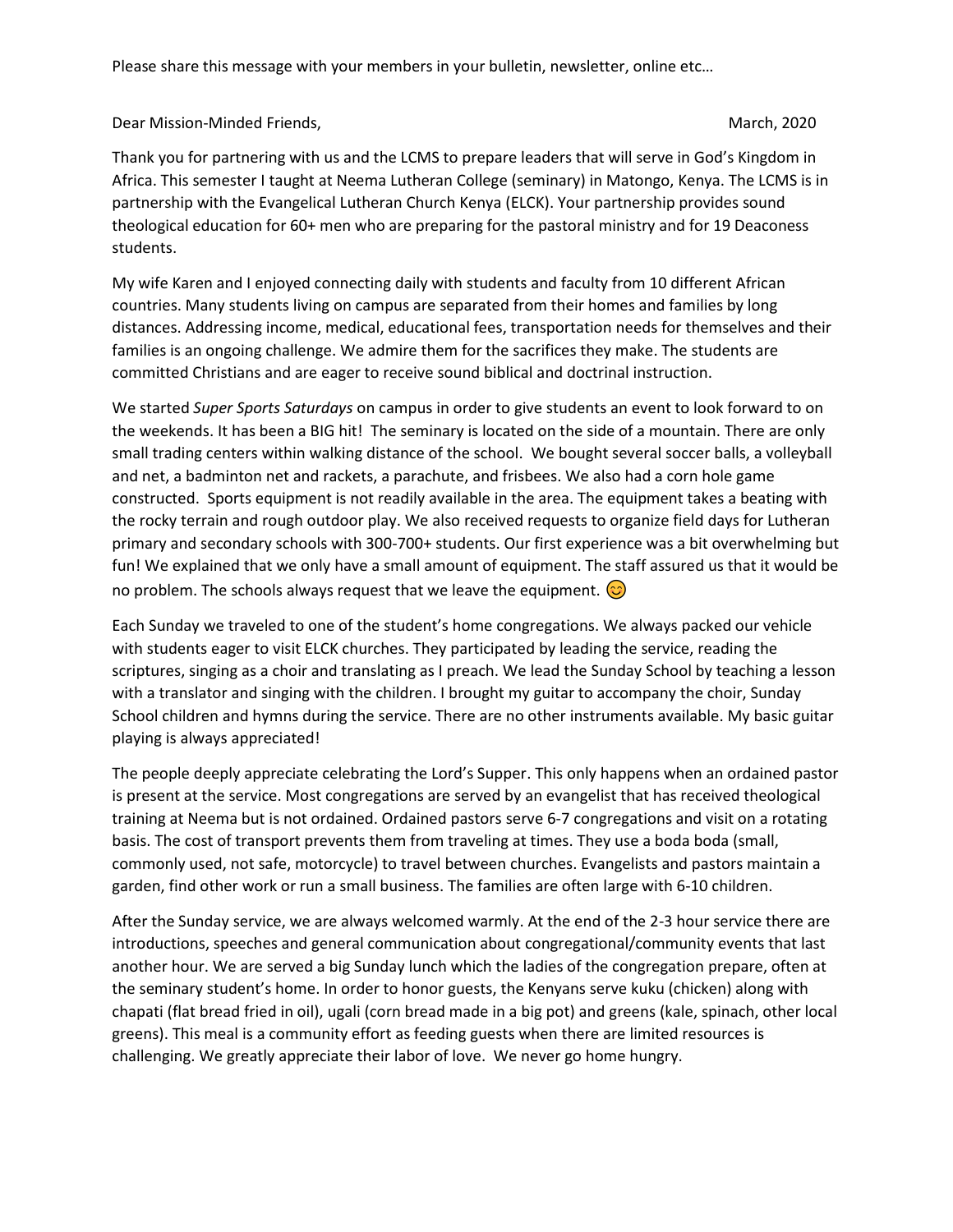Please share this message with your members in your bulletin, newsletter, online etc…

Dear Mission-Minded Friends, National School and School and School and March, 2020

Thank you for partnering with us and the LCMS to prepare leaders that will serve in God's Kingdom in Africa. This semester I taught at Neema Lutheran College (seminary) in Matongo, Kenya. The LCMS is in partnership with the Evangelical Lutheran Church Kenya (ELCK). Your partnership provides sound theological education for 60+ men who are preparing for the pastoral ministry and for 19 Deaconess students.

My wife Karen and I enjoyed connecting daily with students and faculty from 10 different African countries. Many students living on campus are separated from their homes and families by long distances. Addressing income, medical, educational fees, transportation needs for themselves and their families is an ongoing challenge. We admire them for the sacrifices they make. The students are committed Christians and are eager to receive sound biblical and doctrinal instruction.

We started *Super Sports Saturdays* on campus in order to give students an event to look forward to on the weekends. It has been a BIG hit! The seminary is located on the side of a mountain. There are only small trading centers within walking distance of the school. We bought several soccer balls, a volleyball and net, a badminton net and rackets, a parachute, and frisbees. We also had a corn hole game constructed. Sports equipment is not readily available in the area. The equipment takes a beating with the rocky terrain and rough outdoor play. We also received requests to organize field days for Lutheran primary and secondary schools with 300-700+ students. Our first experience was a bit overwhelming but fun! We explained that we only have a small amount of equipment. The staff assured us that it would be no problem. The schools always request that we leave the equipment.  $\odot$ 

Each Sunday we traveled to one of the student's home congregations. We always packed our vehicle with students eager to visit ELCK churches. They participated by leading the service, reading the scriptures, singing as a choir and translating as I preach. We lead the Sunday School by teaching a lesson with a translator and singing with the children. I brought my guitar to accompany the choir, Sunday School children and hymns during the service. There are no other instruments available. My basic guitar playing is always appreciated!

The people deeply appreciate celebrating the Lord's Supper. This only happens when an ordained pastor is present at the service. Most congregations are served by an evangelist that has received theological training at Neema but is not ordained. Ordained pastors serve 6-7 congregations and visit on a rotating basis. The cost of transport prevents them from traveling at times. They use a boda boda (small, commonly used, not safe, motorcycle) to travel between churches. Evangelists and pastors maintain a garden, find other work or run a small business. The families are often large with 6-10 children.

After the Sunday service, we are always welcomed warmly. At the end of the 2-3 hour service there are introductions, speeches and general communication about congregational/community events that last another hour. We are served a big Sunday lunch which the ladies of the congregation prepare, often at the seminary student's home. In order to honor guests, the Kenyans serve kuku (chicken) along with chapati (flat bread fried in oil), ugali (corn bread made in a big pot) and greens (kale, spinach, other local greens). This meal is a community effort as feeding guests when there are limited resources is challenging. We greatly appreciate their labor of love. We never go home hungry.